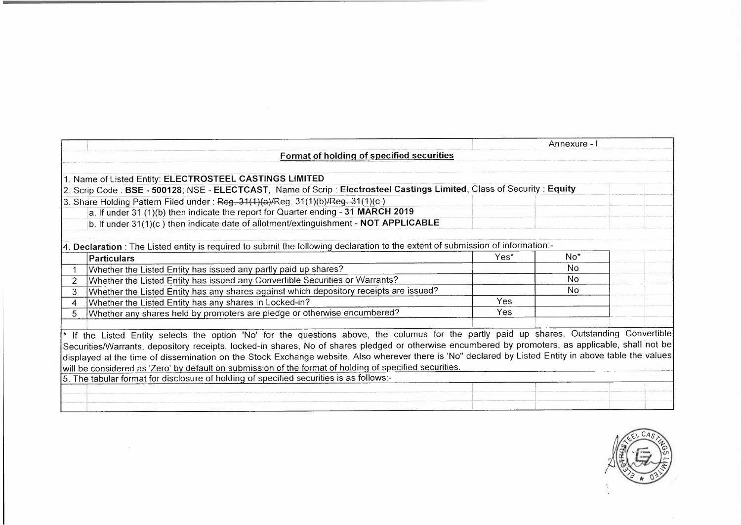|                                                                                                                                                       |      | Annexure - I   |  |
|-------------------------------------------------------------------------------------------------------------------------------------------------------|------|----------------|--|
| Format of holding of specified securities                                                                                                             |      |                |  |
|                                                                                                                                                       |      |                |  |
| 1. Name of Listed Entity: ELECTROSTEEL CASTINGS LIMITED                                                                                               |      |                |  |
| 2. Scrip Code: BSE - 500128; NSE - ELECTCAST, Name of Scrip: Electrosteel Castings Limited, Class of Security: Equity                                 |      |                |  |
| 3. Share Holding Pattern Filed under: Reg. 31(1)(a)/Reg. 31(1)(b)/Reg. 31(1)(c)                                                                       |      |                |  |
| a. If under 31 (1)(b) then indicate the report for Quarter ending - 31 MARCH 2019                                                                     |      |                |  |
| b. If under 31(1)(c) then indicate date of allotment/extinguishment - NOT APPLICABLE                                                                  |      |                |  |
|                                                                                                                                                       |      |                |  |
| [4. Declaration : The Listed entity is required to submit the following declaration to the extent of submission of information:-                      |      |                |  |
| <b>Particulars</b>                                                                                                                                    | Yes* | $No*$          |  |
| Whether the Listed Entity has issued any partly paid up shares?                                                                                       |      | No             |  |
| Whether the Listed Entity has issued any Convertible Securities or Warrants?                                                                          |      | N <sub>o</sub> |  |
| Whether the Listed Entity has any shares against which depository receipts are issued?<br>3                                                           |      | No.            |  |
| Whether the Listed Entity has any shares in Locked-in?<br>$\overline{4}$                                                                              | Yes  |                |  |
| Whether any shares held by promoters are pledge or otherwise encumbered?<br>5                                                                         | Yes  |                |  |
|                                                                                                                                                       |      |                |  |
| <sup>*</sup> If the Listed Entity selects the option 'No' for the questions above, the columus for the partly paid up shares, Outstanding Convertible |      |                |  |
| Securities/Warrants, depository receipts, locked-in shares, No of shares pledged or otherwise encumbered by promoters, as applicable, shall not be    |      |                |  |
| displayed at the time of dissemination on the Stock Exchange website. Also wherever there is 'No" declared by Listed Entity in above table the values |      |                |  |
| will be considered as 'Zero' by default on submission of the format of holding of specified securities.                                               |      |                |  |
| 5. The tabular format for disclosure of holding of specified securities is as follows:-                                                               |      |                |  |
|                                                                                                                                                       |      |                |  |
|                                                                                                                                                       |      |                |  |

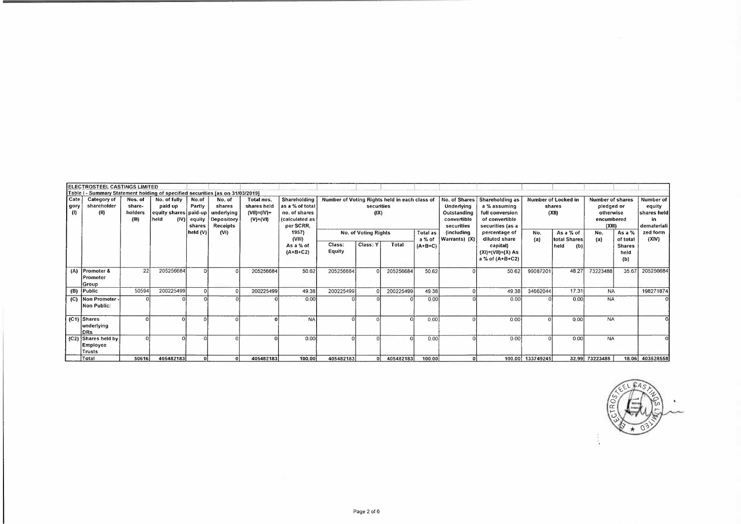|                     | ELECTROSTEEL CASTINGS LIMITED                                                  |                                       |                                                                  |                                     |                                                          |                                                          |                                                                                 |                                               |                      |           |                     |                                                                         |                                                                                          |                  |                                        |                                                                            |                                          |                                                         |
|---------------------|--------------------------------------------------------------------------------|---------------------------------------|------------------------------------------------------------------|-------------------------------------|----------------------------------------------------------|----------------------------------------------------------|---------------------------------------------------------------------------------|-----------------------------------------------|----------------------|-----------|---------------------|-------------------------------------------------------------------------|------------------------------------------------------------------------------------------|------------------|----------------------------------------|----------------------------------------------------------------------------|------------------------------------------|---------------------------------------------------------|
|                     | Table I - Summary Statement holding of specified securities [as on 31/03/2019] |                                       |                                                                  |                                     |                                                          |                                                          |                                                                                 |                                               |                      |           |                     |                                                                         |                                                                                          |                  |                                        |                                                                            |                                          |                                                         |
| Cate<br>gory<br>(1) | Category of<br>shareholder<br>(II)                                             | Nos. of<br>share-<br>holders<br>(III) | No. of fully<br>paid up<br>equity shares paid-up<br>held<br>(IV) | No.of<br>Partly<br>equity<br>shares | No. of<br>shares<br>underlying<br>Depository<br>Receipts | Total nos.<br>shares held<br>$(VII)=(IV)+$<br>$(V)+(VI)$ | Shareholding<br>as a % of total<br>no. of shares<br>(calculated as<br>per SCRR, | Number of Voting Rights held in each class of | securities<br>(IX)   |           |                     | No. of Shares<br>Underlying<br>Outstanding<br>convertible<br>securities | Shareholding as<br>a % assuming<br>full conversion<br>of convertible<br>securities (as a |                  | Number of Locked in<br>shares<br>(XII) | <b>Number of shares</b><br>pledged or<br>otherwise<br>encumbered<br>(XIII) |                                          | Number of<br>equity<br>shares held<br>in<br>demateriali |
|                     |                                                                                |                                       |                                                                  | held (V)                            | (VI)                                                     |                                                          | 1957)                                                                           |                                               | No. of Voting Rights |           | Total as            | (including                                                              | percentage of                                                                            | No.              | As a % of                              | No.                                                                        | As a $%$                                 | zed form                                                |
|                     |                                                                                |                                       |                                                                  |                                     |                                                          |                                                          | (VIII)<br>As a % of<br>$(A+B+C2)$                                               | Class:<br>Equity                              | Class: Y             | Total     | a % of<br>$(A+B+C)$ | (X) Warrants)                                                           | diluted share<br>capital)<br>$(XI) = (VII) + (X) As$<br>a % of (A+B+C2)                  | (a)              | total Shares<br>(b)<br>held            | (a)                                                                        | of total<br><b>Shares</b><br>held<br>(b) | (XIV)                                                   |
| (A)                 | Promoter &<br>Promoter<br>Group                                                | 22                                    | 205256684                                                        | $\Omega$                            |                                                          | 205256684                                                | 50.62                                                                           | 205256684                                     |                      | 205256684 | 50 62               |                                                                         | 50 62                                                                                    | 99087201         | 48 27                                  | 73223488                                                                   | 35.67                                    | 205256684                                               |
|                     | (B) Public                                                                     | 50594                                 | 200225499                                                        | <sub>0</sub>                        |                                                          | 200225499                                                | 49.38                                                                           | 200225499                                     |                      | 200225499 | 49 38               | $\Omega$                                                                | 49 38                                                                                    | 34662044         | 17.31                                  | <b>NA</b>                                                                  |                                          | 198271874                                               |
|                     | (C) Non Promoter<br>Non Public:                                                |                                       |                                                                  | $\Omega$                            |                                                          |                                                          | 0.00                                                                            |                                               |                      |           | 0.00                |                                                                         | 0.00                                                                                     |                  | 000                                    | <b>NA</b>                                                                  |                                          |                                                         |
|                     | $ C1 $ Shares<br>underlying<br>DRs                                             |                                       |                                                                  | $\Omega$                            |                                                          |                                                          | <b>NA</b>                                                                       |                                               |                      |           | 0.00                | $\Omega$                                                                | 0.00                                                                                     |                  | 0.00                                   | <b>NA</b>                                                                  |                                          |                                                         |
|                     | (C2) Shares held by<br>Employee<br>Trusts                                      | $\Omega$                              |                                                                  |                                     |                                                          |                                                          | 0.00                                                                            |                                               |                      |           | 0.00                |                                                                         | 0.00                                                                                     |                  | 0.00                                   | <b>NA</b>                                                                  |                                          |                                                         |
|                     | Total                                                                          | 50616                                 | 405482183                                                        | οl                                  | -ol                                                      | 405482183                                                | 100.00                                                                          | 405482183                                     |                      | 405482183 | 100.00              | Ω                                                                       |                                                                                          | 100.00 133749245 |                                        | 32.99 73223488                                                             |                                          | 18.06 403528558                                         |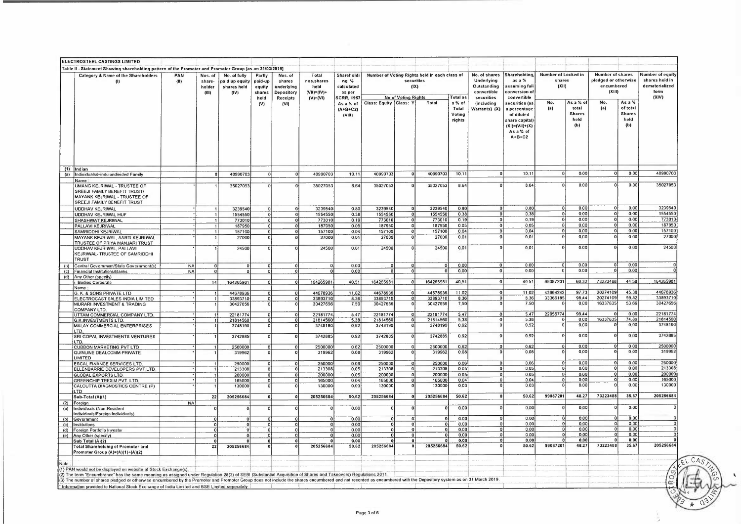|            | ELECTROSTEEL CASTINGS LIMITED                                                                                                                                                                                                                                                                                                                                                      |             |                                     |                                                       |                                               |                                                                  |                                                          |                                                                 |                          |                                                  |                                               |                                     |                                                                         |                                                                                                             |                                        |                                            |                                                                  |                                                    |                                                                       |
|------------|------------------------------------------------------------------------------------------------------------------------------------------------------------------------------------------------------------------------------------------------------------------------------------------------------------------------------------------------------------------------------------|-------------|-------------------------------------|-------------------------------------------------------|-----------------------------------------------|------------------------------------------------------------------|----------------------------------------------------------|-----------------------------------------------------------------|--------------------------|--------------------------------------------------|-----------------------------------------------|-------------------------------------|-------------------------------------------------------------------------|-------------------------------------------------------------------------------------------------------------|----------------------------------------|--------------------------------------------|------------------------------------------------------------------|----------------------------------------------------|-----------------------------------------------------------------------|
|            | Table II - Statement Showing shareholding pattern of the Promoter and Promoter Group [as on 31/03/2019]                                                                                                                                                                                                                                                                            |             |                                     |                                                       |                                               |                                                                  |                                                          |                                                                 |                          |                                                  |                                               |                                     |                                                                         |                                                                                                             |                                        |                                            |                                                                  |                                                    |                                                                       |
|            | Category & Name of the Shareholders                                                                                                                                                                                                                                                                                                                                                | PAN<br>(11) | Nos. of<br>share<br>holder<br>(111) | No. of fully<br>paid up equity<br>shares held<br>(IV) | Partly<br>paid-up<br>equity<br>shares<br>held | Nos. of<br>shares<br>underlying<br>Depository<br><b>Receipts</b> | Total<br>nos.shares<br>held<br>(VII)=(IV)+<br>$(V)+(VI)$ | Shareholdi<br>ng %<br>calculated<br>as per<br><b>SCRR, 1957</b> |                          | securities<br>(IX)<br><b>No of Voting Rights</b> | Number of Voting Rights held in each class of | Total as                            | No. of shares<br>Underlying<br>Outstanding<br>convertible<br>securities | Shareholding<br>$as a \%$<br>ıssumina full<br>conversion of<br>convertible                                  | Number of Locked in<br>shares<br>(X11) |                                            | Number of shares<br>pledged or otherwise<br>encumbered<br>(XIII) |                                                    | Number of equity<br>shares held in<br>dematerialized<br>form<br>(XIV) |
|            |                                                                                                                                                                                                                                                                                                                                                                                    |             |                                     |                                                       | (V)                                           | (VI)                                                             |                                                          | As a % of<br>$(A+B+C2)$<br>(VIII)                               | Class: Equity   Class: Y |                                                  | Total                                         | a % of<br>Total<br>Voting<br>rights | (including<br>Warrants) (X)                                             | securities (as<br>percentage<br>of diluted<br>share capital<br>$(X1) = (V1) + (X)$<br>As a % of<br>$A+B+C2$ | No.<br>(a)                             | As a % o<br>total<br>Shares<br>held<br>(b) | No.<br>(a)                                                       | As a %<br>of total<br><b>Shares</b><br>held<br>(b) |                                                                       |
|            | $(1)$ Indian                                                                                                                                                                                                                                                                                                                                                                       |             |                                     |                                                       |                                               |                                                                  |                                                          |                                                                 |                          |                                                  |                                               |                                     |                                                                         |                                                                                                             |                                        |                                            |                                                                  | 000                                                | 40990703                                                              |
| (a)        | Individuals/Hindu undivided Family                                                                                                                                                                                                                                                                                                                                                 |             | 8                                   | 40990703                                              | $\overline{0}$                                | $\Omega$                                                         | 40990703                                                 | 10.11                                                           | 40990703                 |                                                  | 40990703                                      | 10.11                               |                                                                         | 10.11                                                                                                       |                                        | 0.00                                       | $\mathbf{C}$                                                     |                                                    |                                                                       |
|            | Name<br>UMANG KEJRIWAL - TRUSTEE OF<br>SREEJI FAMILY BENEFIT TRUST/<br>MAYANK KEJRIWAL - TRUSTEE OF<br>SREEJI FAMILY BENEFIT TRUST                                                                                                                                                                                                                                                 |             |                                     | 35027053                                              |                                               | $\Omega$                                                         | 35027053                                                 | 864                                                             | 35027053                 |                                                  | 35027053                                      | 8.64                                |                                                                         | 864                                                                                                         |                                        | 0.00                                       |                                                                  | 000                                                | 35027053                                                              |
|            | UDDHAV KEJRIWAL                                                                                                                                                                                                                                                                                                                                                                    |             |                                     | 3239540<br>1554550                                    | $\Omega$                                      | $\circ$                                                          | 3239540<br>1554550                                       | 0.80<br>0.38                                                    | 3239540<br>1554550       | $\Omega$<br>$\mathbf 0$                          | 3239540<br>1554550                            | 0.80<br>0.38                        |                                                                         | 0.80<br>0.38                                                                                                | ol<br>$\overline{0}$                   | 000<br>0.00                                | -ol<br> 0                                                        | 0.00<br>0.00                                       | 3239540<br>1554550                                                    |
|            | UDDHAV KEJRIWAL HUF<br>SHASHWAT KEJRIWAL                                                                                                                                                                                                                                                                                                                                           |             |                                     | 773010                                                | $\mathbf{o}$<br>$\overline{\mathfrak{o}}$     | $\mathbf{0}$<br> 0                                               | 773010                                                   | 0 <sub>19</sub>                                                 | 773010                   | $\mathbf{0}$                                     | 773010                                        | 0.19                                | $\Omega$                                                                | 0.19                                                                                                        | oi                                     | 0.00                                       | $\Omega$                                                         | 0.00                                               | 773010                                                                |
|            | PALLAVI KEJRIWAL                                                                                                                                                                                                                                                                                                                                                                   |             |                                     | 187950                                                | 0                                             | $\bf{0}$                                                         | 187950                                                   | 005                                                             | 187950                   | $\overline{\mathfrak{o}}$                        | 187950                                        | 0.05                                | $\overline{0}$                                                          | 005                                                                                                         | $\mathbf 0$                            | 000                                        | $\Omega$                                                         | 0.00                                               | 187950                                                                |
|            | SAMRIDDHI KEJRIWAI                                                                                                                                                                                                                                                                                                                                                                 |             |                                     | 157100                                                | $\overline{0}$                                | 0                                                                | 157100                                                   | 0.04                                                            | 157100                   | 0                                                | 157100                                        | 0.04                                | $\Omega$                                                                | 0.04                                                                                                        | <b>n</b>                               | 000                                        | $\mathbf 0$                                                      | 000                                                | 157100                                                                |
|            | MAYANK KEJRIWAL, AARTI KEJRIWAL<br>TRUSTEE OF PRIYA MANJARI TRUST<br>UDDHAV KEJRIWAL, PALLAVI                                                                                                                                                                                                                                                                                      |             |                                     | 27000<br>24500                                        |                                               | $\sqrt{2}$                                                       | 27000<br>24500                                           | 0.01<br>0.01                                                    | 27000<br>24500           | $\Omega$<br>$\Omega$                             | 27000<br>24500                                | 0.01<br>0.01                        |                                                                         | 0.01<br>0.01                                                                                                |                                        | 000<br>0.00                                |                                                                  | 0.00<br>0.00                                       | 27000<br>24500                                                        |
|            | KEJRIWAL- TRUSTEE OF SAMRIDDHI<br><b>TRUST</b>                                                                                                                                                                                                                                                                                                                                     |             |                                     |                                                       |                                               |                                                                  |                                                          |                                                                 |                          |                                                  |                                               |                                     |                                                                         |                                                                                                             |                                        |                                            |                                                                  |                                                    |                                                                       |
| (b)        | Central Government/State Government(s)                                                                                                                                                                                                                                                                                                                                             | <b>NA</b>   | $\mathbf 0$                         | $\Omega$                                              | $\Omega$                                      | $\overline{a}$                                                   | $\overline{0}$                                           | 000                                                             | $\Omega$                 | $\overline{0}$                                   | $\Omega$                                      | 000                                 | $\Omega$                                                                | 000                                                                                                         | οl                                     | 0.00                                       |                                                                  | 0.00                                               |                                                                       |
| (c)        | Financial Institutions/Banks                                                                                                                                                                                                                                                                                                                                                       | <b>NA</b>   | $\Omega$                            |                                                       | $\Omega$                                      | $\overline{0}$                                                   | $\Omega$                                                 | 0.00                                                            |                          | $\Omega$                                         | $\mathbf 0$                                   | 0.00                                | οł                                                                      | 0.00                                                                                                        | -ni                                    | 0.00                                       |                                                                  | 0.00                                               |                                                                       |
| (d)        | Any Other (specify)<br><b>Bodies Corporate</b>                                                                                                                                                                                                                                                                                                                                     |             | 14                                  | 164265981                                             |                                               | $\Omega$                                                         | 164265981                                                | 40.51                                                           | 164265981                | 0                                                | 164265981                                     | 40 51                               | $\Omega$                                                                | 40.51                                                                                                       | 99087201                               | 60.32                                      | 73223488                                                         | 44 58                                              | 164265981                                                             |
|            | Name                                                                                                                                                                                                                                                                                                                                                                               |             |                                     |                                                       |                                               |                                                                  |                                                          |                                                                 |                          |                                                  |                                               |                                     |                                                                         |                                                                                                             |                                        |                                            |                                                                  |                                                    |                                                                       |
|            | G. K. & SONS PRIVATE LTD                                                                                                                                                                                                                                                                                                                                                           |             |                                     | 44678936                                              | $\Omega$                                      | 0                                                                | 44678936                                                 | 11.02                                                           | 44678936                 | ol                                               | 44678936                                      | 11.02                               |                                                                         | 11 02                                                                                                       | 43664242                               | 9773                                       | 20274109                                                         | 45.38                                              | 44678936                                                              |
|            | ELECTROCAST SALES INDIA LIMITED                                                                                                                                                                                                                                                                                                                                                    |             |                                     | 33893710                                              | $\Omega$                                      | $\Omega$<br>$\Omega$                                             | 33893710<br>30427656                                     | 8.36                                                            | 33893710<br>30427656     | $\Omega$<br>$\Omega$                             | 33893710<br>30427656                          | 8 3 6<br>7.50                       |                                                                         | 8.36<br>7.50                                                                                                | 33366185                               | 98 44<br>0.00                              | 20274109<br>16337635                                             | 59.82<br>53 69                                     | 33893710<br>30427656                                                  |
|            | MURARI INVESTMENT & TRADING<br>COMPANY LTD                                                                                                                                                                                                                                                                                                                                         |             |                                     | 30427656                                              |                                               |                                                                  |                                                          | 750                                                             |                          |                                                  |                                               |                                     |                                                                         |                                                                                                             |                                        |                                            |                                                                  |                                                    |                                                                       |
|            | UTTAM COMMERCIAL COMPANY LTD                                                                                                                                                                                                                                                                                                                                                       |             |                                     | 22181774                                              | $\Omega$                                      | $\overline{0}$                                                   | 22181774                                                 | 547                                                             | 22181774                 | 0                                                | 22181774                                      | 547                                 |                                                                         | 5 47                                                                                                        | 22056774                               | 99 44                                      |                                                                  | 000                                                | 22181774                                                              |
|            | G.K.INVESTMENTS LTD.                                                                                                                                                                                                                                                                                                                                                               |             |                                     | 21814560                                              | $\mathbf 0$                                   | $\circ$                                                          | 21814560                                                 | 5.38                                                            | 21814560                 | 0                                                | 21814560                                      | 5 3 8                               |                                                                         | 5.38                                                                                                        |                                        | 000                                        | 16337635                                                         | 74.89                                              | 21814560                                                              |
|            | MALAY COMMERCIAL ENTERPRISES<br>LTD<br>SRI GOPAL INVESTMENTS VENTURES                                                                                                                                                                                                                                                                                                              |             |                                     | 3748190<br>3742885                                    | $\Omega$                                      | $\overline{0}$<br>$\mathbf{0}$                                   | 3748190<br>3742885                                       | 092<br>0.92                                                     | 3748190<br>3742885       | $\Omega$<br>$\mathbf{0}$                         | 3748190<br>3742885                            | 092<br>092                          |                                                                         | 0.92<br>092                                                                                                 | $\Omega$                               | 000<br>0.00                                |                                                                  | 0.00<br>000                                        | 3748190<br>3742885                                                    |
|            | TD.                                                                                                                                                                                                                                                                                                                                                                                |             |                                     |                                                       |                                               |                                                                  |                                                          |                                                                 |                          |                                                  |                                               |                                     |                                                                         |                                                                                                             |                                        |                                            |                                                                  |                                                    |                                                                       |
|            | CUBBON MARKETING PVT LTD<br>QUINLINE DEALCOMM PRIVATE<br>LIMITED                                                                                                                                                                                                                                                                                                                   |             |                                     | 2500000<br>319962                                     | 0                                             | $\overline{0}$<br>$\Omega$                                       | 2500000<br>319962                                        | 062<br>0.08                                                     | 2500000<br>319962        | 0 <br>$\Omega$                                   | 2500000<br>319962                             | 0,62<br>0.08                        |                                                                         | 0.62<br>0.08                                                                                                |                                        | 0.00<br>0.00                               |                                                                  | 0.00<br>000                                        | 2500000<br>319962                                                     |
|            | <b>ESCAL FINANCE SERVICES LTD.</b>                                                                                                                                                                                                                                                                                                                                                 |             |                                     | 250000                                                |                                               | $\Omega$                                                         | 250000                                                   | 0.06                                                            | 250000                   | $\Omega$                                         | 250000                                        | 0.06                                |                                                                         | 0.06                                                                                                        | $\Omega$                               | 000                                        | $\Omega$                                                         | 000                                                | 250000                                                                |
|            | ELLENBARRIE DEVELOPERS PVT LTD                                                                                                                                                                                                                                                                                                                                                     |             |                                     | 213308                                                | $\mathbf{0}$                                  | $\circ$                                                          | 213308                                                   | 0.05                                                            | 213308                   | $\Omega$                                         | 213308                                        | 0.05                                | οi                                                                      | 0.05                                                                                                        | ol                                     | 0.00                                       | $\Omega$                                                         | 000                                                | 213308                                                                |
|            | <b>GLOBAL EXPORTS LTD</b>                                                                                                                                                                                                                                                                                                                                                          |             |                                     | 200000                                                | $\mathbf{0}$                                  | $\overline{0}$                                                   | 200000                                                   | 0.05                                                            | 200000                   | $^{\circ}$                                       | 200000                                        | 0.05                                | ٥l                                                                      | 005                                                                                                         | 0l<br>$\Omega$                         | 0.00<br>0.00                               | $\mathbf 0$                                                      | 0.00<br>0.00                                       | 200000<br>165000                                                      |
|            | GREENCHIP TREXIM PVT. LTD<br>CALCUTTA DIAGNOSTICS CENTRE (P)                                                                                                                                                                                                                                                                                                                       |             |                                     | 165000<br>130000                                      | $\mathbf{0}$<br>$\mathbf{0}$                  | $\circ$<br>$\Omega$                                              | 165000<br>130000                                         | 0 0 4<br>0.03                                                   | 165000<br>130000         | $\mathbf 0$                                      | 165000<br>130000                              | 0.04<br>003                         | 0                                                                       | 004<br>003                                                                                                  |                                        | 0.00                                       |                                                                  | 0.00                                               | 130000                                                                |
|            | <b>TD</b><br>Sub-Total (A)(1)                                                                                                                                                                                                                                                                                                                                                      |             | 22                                  | 205256684                                             | $\mathbf 0$                                   | $\mathfrak{o}$                                                   | 205256684                                                | 50.62                                                           | 205256684                |                                                  | 205256684                                     | 50.62                               |                                                                         | 50.62                                                                                                       | 99087201                               | 48.27                                      | 73223488                                                         | 35.67                                              | 205256684                                                             |
| (2)        | Foreign                                                                                                                                                                                                                                                                                                                                                                            | NA.         |                                     |                                                       |                                               |                                                                  |                                                          |                                                                 |                          |                                                  |                                               |                                     |                                                                         |                                                                                                             |                                        |                                            |                                                                  |                                                    |                                                                       |
| (a)        | Individuals (Non-Resident<br>ndividuals/Foreign Individuals)                                                                                                                                                                                                                                                                                                                       |             | $\Omega$                            |                                                       |                                               | 0                                                                | $\circ$                                                  | 0.00                                                            |                          |                                                  |                                               | 000                                 |                                                                         | 000                                                                                                         |                                        | 0.00<br>000                                |                                                                  | 0.00<br>000                                        |                                                                       |
| (b)<br>(c) | Government<br>Institutions                                                                                                                                                                                                                                                                                                                                                         |             | $\mathbf 0$<br>$\overline{0}$       | $\mathfrak{g}$<br>$\overline{0}$                      | $\Omega$<br>$\Omega$                          | $\Omega$<br>$\Omega$                                             | οļ<br>$\Omega$                                           | 000<br>000                                                      | $\Omega$<br>$\Omega$     | $\Omega$<br>o                                    | οl                                            | 0.00<br>0.00                        |                                                                         | 0,00<br>0.00                                                                                                | $\Omega$                               | 000                                        | o                                                                | 000                                                |                                                                       |
| (d)        | Foreign Portfolio Investor                                                                                                                                                                                                                                                                                                                                                         |             | $\Omega$                            | $\Omega$                                              | $\mathbf 0$                                   | $\Omega$                                                         | $\Omega$                                                 | 000                                                             |                          | $\mathbf{0}$                                     | $\Omega$                                      | 0.00                                | $\Omega$                                                                | 0 <sub>00</sub>                                                                                             | $\Omega$                               | 0.00                                       | $^{\circ}$                                                       | 000                                                |                                                                       |
|            | (e)   Any Other (specify)                                                                                                                                                                                                                                                                                                                                                          |             | $\Omega$                            | O                                                     | 0                                             | - O                                                              | $\mathbf{o}$                                             | 0.00                                                            | $\Omega$                 | $\Omega$                                         | O.                                            | 0.00                                |                                                                         | 000                                                                                                         |                                        | 0.00                                       | $\Omega$                                                         | 0.00                                               |                                                                       |
|            | Sub Total (A)(2)<br>Total Shareholding of Promoter and<br>Promoter Group (A)=(A)(1)+(A)(2)                                                                                                                                                                                                                                                                                         |             | $\overline{0}$<br>22                | $\Omega$<br>205256684                                 | $\bf{0}$                                      | $\overline{0}$                                                   | $\mathbf 0$<br>205256684                                 | 0.00<br>50.62                                                   | 205256684                | $\bf{0}$                                         | 205256684                                     | 0.00<br>50.62                       | 01                                                                      | 0.00<br>50.62                                                                                               | 99087201                               | 0.00<br>48.27                              | 73223488                                                         | 0.00<br>35.67                                      | 205256684                                                             |
|            |                                                                                                                                                                                                                                                                                                                                                                                    |             |                                     |                                                       |                                               |                                                                  |                                                          |                                                                 |                          |                                                  |                                               |                                     |                                                                         |                                                                                                             |                                        |                                            |                                                                  |                                                    |                                                                       |
| Note       | (1) PAN would not be displayed on website of Stock Exchange(s)                                                                                                                                                                                                                                                                                                                     |             |                                     |                                                       |                                               |                                                                  |                                                          |                                                                 |                          |                                                  |                                               |                                     |                                                                         |                                                                                                             |                                        |                                            |                                                                  |                                                    |                                                                       |
|            | (2) The term "Encumbrance" has the same meaning as assigned under Regulation 28(3) of SEBI (Substantial Acquisition of Shares and Takeovers) Regulations 2011<br>(3) The number of shares pledged or otherwise encumbered by the Promoter and Promoter Group does not include the shares encumbered and not recorded as encumbered with the Depository system as on 31 March 2019. |             |                                     |                                                       |                                               |                                                                  |                                                          |                                                                 |                          |                                                  |                                               |                                     |                                                                         |                                                                                                             |                                        |                                            |                                                                  |                                                    | $RQ_9$                                                                |
|            | finformation provided to National Stock Exchange of India Limited and BSE Limited seperately                                                                                                                                                                                                                                                                                       |             |                                     |                                                       |                                               |                                                                  |                                                          |                                                                 |                          |                                                  |                                               |                                     |                                                                         |                                                                                                             |                                        |                                            |                                                                  |                                                    |                                                                       |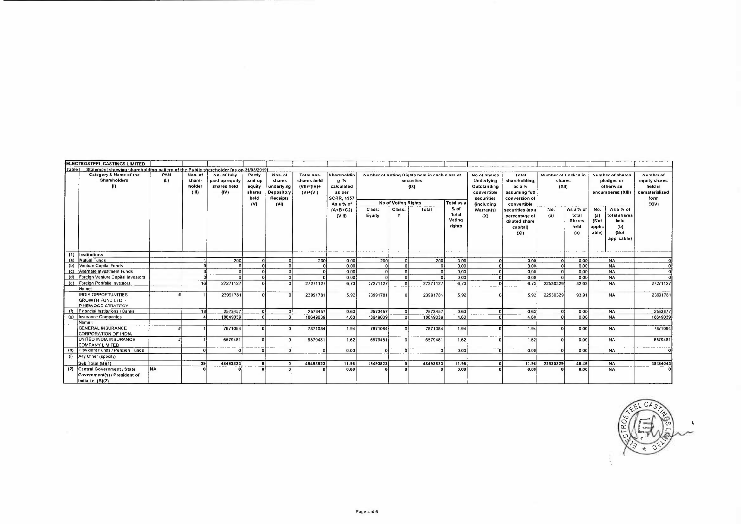|     | IELECTROSTEEL CASTINGS LIMITED                                                                  |           |          |                |              |                 |                  |                   |          |                            |                                               |            |                                |                  |                     |               |             |                   |                |
|-----|-------------------------------------------------------------------------------------------------|-----------|----------|----------------|--------------|-----------------|------------------|-------------------|----------|----------------------------|-----------------------------------------------|------------|--------------------------------|------------------|---------------------|---------------|-------------|-------------------|----------------|
|     | Table III - Statement showing shareholding pattern of the Public shareholder [as on 31/03/2019] |           |          |                |              |                 |                  |                   |          |                            |                                               |            |                                |                  |                     |               |             |                   |                |
|     | Category & Name of the                                                                          | PAN       | Nos. of  | No. of fully   | Partly       | Nos. of         | Total nos.       | Shareholdin       |          |                            | Number of Voting Rights held in each class of |            | No of shares                   | Total            | Number of Locked in |               |             | Number of shares  | Number of      |
|     | <b>Shareholders</b>                                                                             | (11)      | share-   | paid up equity | paid-up      | shares          | shares held      | $Q \gamma$        |          |                            | securities                                    |            | Underlying                     | shareholding,    | shares              |               |             | pledged or        | equity shares  |
|     | m                                                                                               |           | holder   | shares held    | equity       | underlying      | $(VII) = (IV) +$ | calculated        |          |                            | (fX)                                          |            | Outstanding                    | as a %           | (XII)               |               |             | otherwise         | held in        |
|     |                                                                                                 |           | (III)    | (IV)           | shares       | Depository      | $(V)+(VI)$       | as per            |          |                            |                                               |            | convertible                    | assuming full    |                     |               |             | encumbered (XIII) | dematerialized |
|     |                                                                                                 |           |          |                | held         | <b>Receipts</b> |                  | <b>SCRR. 1957</b> |          |                            |                                               |            | securities                     | conversion of    |                     |               |             |                   | form           |
|     |                                                                                                 |           |          |                | (V)          | (V1)            |                  | As a % of         |          | <b>No of Voting Rights</b> |                                               | Total as a | <i><u><b>including</b></u></i> | convertible      |                     |               |             |                   | (X V)          |
|     |                                                                                                 |           |          |                |              |                 |                  | ${A+B+C2}$        | Class:   | Class:                     | Total                                         | % of       | <b>Warrantsl</b>               | securities (as a | No.                 | As a % of     | No.         | As a % of         |                |
|     |                                                                                                 |           |          |                |              |                 |                  | (VIII)            | Equity   | Y                          |                                               | Total      | (X)                            | percentage of    | (a)                 | total         | (a)         | total shares      |                |
|     |                                                                                                 |           |          |                |              |                 |                  |                   |          |                            |                                               | Voting     |                                | diluted share    |                     | <b>Shares</b> | <b>(Not</b> | held              |                |
|     |                                                                                                 |           |          |                |              |                 |                  |                   |          |                            |                                               | rights     |                                | capital)         |                     | held          | applic      | (b)               |                |
|     |                                                                                                 |           |          |                |              |                 |                  |                   |          |                            |                                               |            |                                | (X1)             |                     | (b)           | able)       | (Not              |                |
|     |                                                                                                 |           |          |                |              |                 |                  |                   |          |                            |                                               |            |                                |                  |                     |               |             | applicable)       |                |
|     |                                                                                                 |           |          |                |              |                 |                  |                   |          |                            |                                               |            |                                |                  |                     |               |             |                   |                |
|     |                                                                                                 |           |          |                |              |                 |                  |                   |          |                            |                                               |            |                                |                  |                     |               |             |                   |                |
|     | (1) Institutions                                                                                |           |          |                |              |                 |                  |                   |          |                            |                                               |            |                                |                  |                     |               |             |                   |                |
| (a) | Mutual Funds                                                                                    |           |          | 200            | $\Omega$     |                 | 200              | 0.00              | 200      |                            | 200                                           | 0.00       |                                | 0.00             |                     | 0.00          |             | <b>NA</b>         |                |
| (b) | Venture Capital Funds                                                                           |           |          |                |              |                 |                  | 0.00              |          |                            | $\Omega$                                      | 0.00       |                                | 0.00             | $\Omega$            | 0.00          |             | <b>NA</b>         | $\Omega$       |
| (c) | Alternate Investment Funds                                                                      |           | $\Omega$ |                |              |                 |                  | 0.00              |          |                            | ΩI                                            | 0.00       |                                | 0.00             |                     | 000           |             | <b>NA</b>         | $\Omega$       |
| (d) | Foreign Venture Capital Investors                                                               |           | $\Omega$ |                |              |                 |                  | 0.00              |          |                            | $\Omega$                                      | 000        |                                | 0.00             |                     | 000           |             | <b>NA</b>         | $\overline{0}$ |
|     | (e) Foreign Portfolio Investors                                                                 |           | 16       | 27271127       |              |                 | 27271127         | 673               | 27271127 |                            | 27271127                                      | 6.73       |                                | 6.73             | 22530329            | 82.62         |             | <b>NA</b>         | 27271127       |
|     | <b>Name</b>                                                                                     |           |          |                |              |                 |                  |                   |          |                            |                                               |            |                                |                  |                     |               |             |                   |                |
|     | <b>INDIA OPPORTUNITIES</b>                                                                      |           |          | 23991781       |              |                 | 23991781         | 5.92              | 23991781 |                            | 23991781                                      | 5 9 2      |                                | 5.92             | 22530329            | 93 91         |             | <b>NA</b>         | 23991781       |
|     | <b>GROWTH FUND LTD. -</b>                                                                       |           |          |                |              |                 |                  |                   |          |                            |                                               |            |                                |                  |                     |               |             |                   |                |
|     | PINEWOOD STRATEGY                                                                               |           |          |                |              |                 |                  |                   |          |                            |                                               |            |                                |                  |                     |               |             |                   |                |
|     | Financial Institutions / Banks                                                                  |           | 18       | 2573457        | $\Omega$     |                 | 2573457          | 0.63              | 2573457  |                            | 2573457                                       | 0.63       |                                | 063              | $\Omega$            | 0.00          |             | <b>NA</b>         | 2563877        |
| (a) | Insurance Companies                                                                             |           |          | 18649039       |              |                 | 18649039         | 4.60              | 18649039 |                            | 18649039                                      | 4.60       |                                | 4.60             |                     | 0.00          |             | <b>NA</b>         | 18649039       |
|     | Name.                                                                                           |           |          |                |              |                 |                  |                   |          |                            |                                               |            |                                |                  |                     |               |             |                   |                |
|     | <b>GENERAL INSURANCE</b>                                                                        |           |          | 7871084        |              |                 | 7871084          | 1.94              | 7871084  | Ωİ                         | 7871084                                       | 1.94       |                                | 1.94             |                     | 0.00          |             | <b>NA</b>         | 7871084        |
|     | <b>CORPORATION OF INDIA</b>                                                                     |           |          |                |              |                 |                  |                   |          |                            |                                               |            |                                |                  |                     |               |             |                   |                |
|     | UNITED INDIA INSURANCE                                                                          |           |          | 6579481        |              |                 | 6579481          | 1.62              | 6579481  |                            | 6579481                                       | 1.62       |                                | 162              |                     | o ool         |             | <b>NA</b>         | 6579481        |
|     | COMPANY LIMITED                                                                                 |           |          |                |              |                 |                  |                   |          |                            |                                               |            |                                |                  |                     |               |             |                   |                |
| (h) | Provident Funds / Pension Funds                                                                 |           | C        |                |              |                 |                  | 0.00              |          | $\Omega$                   | $\Omega$                                      | 0.00       |                                | 0,00             |                     | 0.00          |             | <b>NA</b>         | $\Omega$       |
| (i) | Any Other (specify)                                                                             |           |          |                |              |                 |                  |                   |          |                            |                                               |            |                                |                  |                     |               |             |                   |                |
|     | Sub Total (B)(1)                                                                                |           | -391     | 48493823       | $\mathbf{r}$ |                 | 48493823         | 11.96             | 48493823 | -o i                       | 48493823                                      | 11.96      |                                | 11,96            | 22530329            | 46.46         |             | <b>NA</b>         | 48484043       |
| (2) | Central Government / State                                                                      | <b>NA</b> |          |                |              |                 |                  | 0.00              |          |                            |                                               | 0.00       |                                | 0.00             |                     | 0.00          |             | <b>NA</b>         |                |
|     | Government(s) / President of                                                                    |           |          |                |              |                 |                  |                   |          |                            |                                               |            |                                |                  |                     |               |             |                   |                |
|     | India i e (B)(2)                                                                                |           |          |                |              |                 |                  |                   |          |                            |                                               |            |                                |                  |                     |               |             |                   |                |

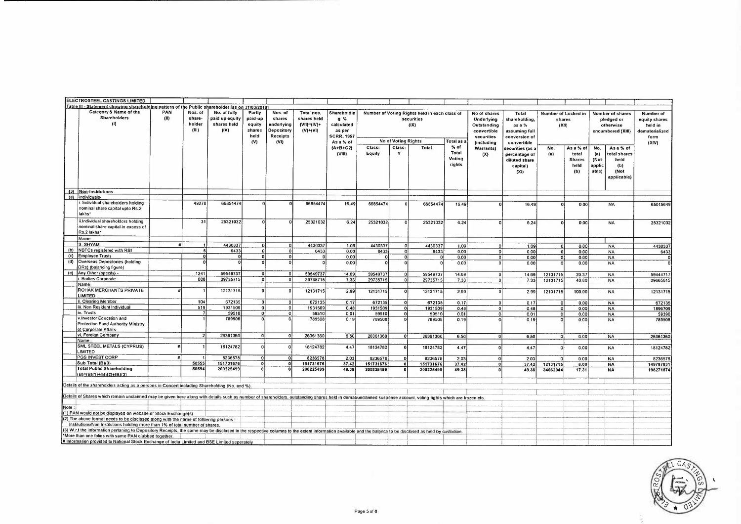|      | ELECTROSTEEL CASTINGS LIMITED                                                                                                                                                                                                                                                                                                                                                                                                                                                                                                                                                                                                                                                                                                                                          |             |                                      |                                                       |                                                      |                                                                          |                                                             |                                                                                |                  |                            |                                                                     |                                     |                                                                                                           |                                                                                     |                                        |                                                    |                                                                                                          |                                                                          |
|------|------------------------------------------------------------------------------------------------------------------------------------------------------------------------------------------------------------------------------------------------------------------------------------------------------------------------------------------------------------------------------------------------------------------------------------------------------------------------------------------------------------------------------------------------------------------------------------------------------------------------------------------------------------------------------------------------------------------------------------------------------------------------|-------------|--------------------------------------|-------------------------------------------------------|------------------------------------------------------|--------------------------------------------------------------------------|-------------------------------------------------------------|--------------------------------------------------------------------------------|------------------|----------------------------|---------------------------------------------------------------------|-------------------------------------|-----------------------------------------------------------------------------------------------------------|-------------------------------------------------------------------------------------|----------------------------------------|----------------------------------------------------|----------------------------------------------------------------------------------------------------------|--------------------------------------------------------------------------|
|      | Table III - Statement showing shareholding pattern of the Public shareholder las on 31/03/2019                                                                                                                                                                                                                                                                                                                                                                                                                                                                                                                                                                                                                                                                         |             |                                      |                                                       |                                                      |                                                                          |                                                             |                                                                                |                  |                            |                                                                     |                                     |                                                                                                           |                                                                                     |                                        |                                                    |                                                                                                          |                                                                          |
|      | Category & Name of the<br><b>Shareholders</b><br>(1)                                                                                                                                                                                                                                                                                                                                                                                                                                                                                                                                                                                                                                                                                                                   | PAN<br>(11) | Nos. of<br>share-<br>holder<br>(III) | No. of fully<br>paid up equity<br>shares held<br>(IV) | Partly<br>paid-up<br>equity<br>shares<br>held<br>(v) | Nos. of<br>shares<br>underlying<br>Depository<br><b>Receipts</b><br>(VI) | Total nos.<br>shares held<br>$(VII) = (IV) +$<br>$(V)+(VI)$ | Shareholdin<br>$q\%$<br>calculated<br>as per<br><b>SCRR, 1957</b><br>As a % of |                  | <b>No of Voting Rights</b> | Number of Voting Rights held in each class of<br>securities<br>(IX) | Total as a                          | No of shares<br><b>Underlying</b><br>Outstanding<br>convertible<br>securities<br><i><b>fincluding</b></i> | Total<br>shareholding,<br>as a %<br>assuming full<br>conversion of<br>convertible   | Number of Locked in<br>shares<br>(X11) |                                                    | <b>Number of shares</b><br>pledged or<br>otherwise<br>encumbered (XIII)                                  | Number of<br>equity shares<br>held in<br>dematerialized<br>form<br>(XIV) |
|      |                                                                                                                                                                                                                                                                                                                                                                                                                                                                                                                                                                                                                                                                                                                                                                        |             |                                      |                                                       |                                                      |                                                                          |                                                             | $(A+B+C2)$<br>(VIII)                                                           | Class:<br>Equity | Class:<br>Y                | Total                                                               | $%$ of<br>Total<br>Voting<br>rights | <b>Warrants</b> )<br>(X)                                                                                  | securities (as a<br>percentage of<br>diluted share<br>capital)<br>(X <sub>1</sub> ) | No.<br>(a)                             | As a % of<br>total<br><b>Shares</b><br>held<br>(b) | No.<br>As a % of<br>total shares<br>(a)<br>(Not<br>held<br>applic<br>(b)<br>able)<br>(Not<br>applicable) |                                                                          |
|      | (3) Non-Institutions                                                                                                                                                                                                                                                                                                                                                                                                                                                                                                                                                                                                                                                                                                                                                   |             |                                      |                                                       |                                                      |                                                                          |                                                             |                                                                                |                  |                            |                                                                     |                                     |                                                                                                           |                                                                                     |                                        |                                                    |                                                                                                          |                                                                          |
| (a)  | Individuals-                                                                                                                                                                                                                                                                                                                                                                                                                                                                                                                                                                                                                                                                                                                                                           |             |                                      |                                                       |                                                      |                                                                          |                                                             |                                                                                |                  |                            |                                                                     |                                     |                                                                                                           |                                                                                     |                                        |                                                    |                                                                                                          |                                                                          |
|      | Individual shareholders holding<br>nominal share capital upto Rs.2<br>lakhs <sup>*</sup>                                                                                                                                                                                                                                                                                                                                                                                                                                                                                                                                                                                                                                                                               |             | 49278                                | 66854474                                              |                                                      |                                                                          | 66854474                                                    | 16 49                                                                          | 66854474         |                            | 66854474                                                            | 16 49                               |                                                                                                           | 16.49                                                                               | $\Omega$                               | 0.00                                               | <b>NA</b>                                                                                                | 65015649                                                                 |
|      | ii.Individual shareholders holding<br>nominal share capital in excess of<br>Rs.2 lakhs*                                                                                                                                                                                                                                                                                                                                                                                                                                                                                                                                                                                                                                                                                |             | 31                                   | 25321032                                              | $\Omega$                                             |                                                                          | 25321032                                                    | 6.24                                                                           | 25321032         | $\Omega$                   | 25321032                                                            | 6.24                                |                                                                                                           | 6.24                                                                                | n                                      | 0.00                                               | <b>NA</b>                                                                                                | 25321032                                                                 |
|      | Name:                                                                                                                                                                                                                                                                                                                                                                                                                                                                                                                                                                                                                                                                                                                                                                  |             |                                      |                                                       |                                                      |                                                                          |                                                             |                                                                                |                  |                            |                                                                     |                                     |                                                                                                           |                                                                                     |                                        |                                                    |                                                                                                          |                                                                          |
| (b)  | S. SHYAM<br>NBFCs registered with RBI                                                                                                                                                                                                                                                                                                                                                                                                                                                                                                                                                                                                                                                                                                                                  |             |                                      | 4430337                                               | ΩI<br>n.                                             | Ωİ<br>$\Omega$                                                           | 4430337                                                     | 1.09                                                                           | 4430337          |                            | 4430337                                                             | 1.09                                | $\Omega$                                                                                                  | 1.09                                                                                | $\Omega$                               | 0.00                                               | <b>NA</b>                                                                                                | 4430337                                                                  |
|      | (c) Employee Trusts                                                                                                                                                                                                                                                                                                                                                                                                                                                                                                                                                                                                                                                                                                                                                    |             |                                      | 6433<br>$\mathbf{r}$                                  | $\Omega$                                             | $\Omega$                                                                 | 6433                                                        | 0.00                                                                           | 6433             | $\Omega$                   | 6433                                                                | 0.00                                | $\Omega$                                                                                                  | 0.00                                                                                | 0                                      | 0.00                                               | <b>NA</b>                                                                                                | 6433                                                                     |
| (d)  | Overseas Depositories (holding                                                                                                                                                                                                                                                                                                                                                                                                                                                                                                                                                                                                                                                                                                                                         |             |                                      |                                                       |                                                      |                                                                          | n                                                           | 0.00<br>0.00                                                                   | n                | $\mathbf{0}$               | $\Omega$                                                            | 0.00<br>000                         | $\Omega$<br>$\Omega$                                                                                      | 000<br>0.00                                                                         | $\Omega$<br>$\Omega$                   | 0.00                                               | <b>NA</b><br><b>NA</b>                                                                                   |                                                                          |
|      | DRs) (balancing figure)                                                                                                                                                                                                                                                                                                                                                                                                                                                                                                                                                                                                                                                                                                                                                |             |                                      |                                                       |                                                      |                                                                          |                                                             |                                                                                |                  |                            |                                                                     |                                     |                                                                                                           |                                                                                     |                                        | 0.00                                               |                                                                                                          |                                                                          |
| (e)  | Any Other (specify) -                                                                                                                                                                                                                                                                                                                                                                                                                                                                                                                                                                                                                                                                                                                                                  |             | 1241                                 | 59549737                                              |                                                      |                                                                          | 59549737                                                    | 14.69                                                                          | 59549737         |                            | 59549737                                                            | 14.69                               |                                                                                                           | 14.69                                                                               | 12131715                               | 20.37                                              | <b>NA</b>                                                                                                | 59444717                                                                 |
|      | Bodies Corporate                                                                                                                                                                                                                                                                                                                                                                                                                                                                                                                                                                                                                                                                                                                                                       |             | 608                                  | 29735715                                              | οi                                                   |                                                                          | 29735715                                                    | 7.33                                                                           | 29735715         | $\Omega$                   | 29735715                                                            | 7.33                                | $\Omega$                                                                                                  | 7.33                                                                                | 12131715                               | 40.80                                              | <b>NA</b>                                                                                                | 29665615                                                                 |
|      | Name<br>ROHAK MERCHANTS PRIVATE                                                                                                                                                                                                                                                                                                                                                                                                                                                                                                                                                                                                                                                                                                                                        |             |                                      | 12131715                                              | n.                                                   |                                                                          | 12131715                                                    |                                                                                |                  |                            |                                                                     |                                     |                                                                                                           |                                                                                     |                                        |                                                    |                                                                                                          |                                                                          |
|      | <b>LIMITED</b>                                                                                                                                                                                                                                                                                                                                                                                                                                                                                                                                                                                                                                                                                                                                                         |             |                                      |                                                       |                                                      |                                                                          |                                                             | 2.99                                                                           | 12131715         | $\Omega$                   | 12131715                                                            | 299                                 |                                                                                                           | 2.99                                                                                | 12131715                               | 100.00                                             | <b>NA</b>                                                                                                | 12131715                                                                 |
|      | I. Clearing Member                                                                                                                                                                                                                                                                                                                                                                                                                                                                                                                                                                                                                                                                                                                                                     |             | 104                                  | 672135                                                |                                                      |                                                                          | 67213                                                       | 0.17                                                                           | 672135           | $\overline{\mathfrak{g}}$  | 672135                                                              | 0.17                                | O                                                                                                         | 0.17                                                                                | $\Omega$                               | 0.00                                               | <b>NA</b>                                                                                                | 672135                                                                   |
|      | iii. Non Resident Individual                                                                                                                                                                                                                                                                                                                                                                                                                                                                                                                                                                                                                                                                                                                                           |             | 519                                  | 1931509                                               | $\overline{\mathbf{0}}$                              | $\Omega$                                                                 | 1931509                                                     | 0.48                                                                           | 1931509          | οl                         | 1931509                                                             | 0.48                                | $\Omega$                                                                                                  | 0.48                                                                                | $\mathbf 0$                            | 0.00                                               | <b>NA</b>                                                                                                | 1896709                                                                  |
|      | iv. Trusts<br>v.Investor Education and                                                                                                                                                                                                                                                                                                                                                                                                                                                                                                                                                                                                                                                                                                                                 |             |                                      | 59510<br>789508                                       | Ωł<br>$\mathfrak{a}$                                 | $\Omega$<br>£                                                            | 59510                                                       | 0.01                                                                           | 59510            | nl                         | 59510                                                               | 0.01                                | $\Omega$                                                                                                  | 0.01                                                                                | $\overline{0}$                         | 0.00                                               | <b>NA</b>                                                                                                | 59390                                                                    |
|      | Protection Fund Authority Ministry<br>of Corporate Affairs                                                                                                                                                                                                                                                                                                                                                                                                                                                                                                                                                                                                                                                                                                             |             |                                      |                                                       |                                                      |                                                                          | 789508                                                      | 0.19                                                                           | 789508           | $\Omega$                   | 789508                                                              | 0.19                                |                                                                                                           | 0.19                                                                                |                                        | 0.00                                               | <b>NA</b>                                                                                                | 789508                                                                   |
|      | vi. Foreign Company<br>Name                                                                                                                                                                                                                                                                                                                                                                                                                                                                                                                                                                                                                                                                                                                                            |             | $\overline{z}$                       | 26361360                                              | -ol                                                  | $\Omega$                                                                 | 26361360                                                    | 6.50                                                                           | 26361360         | -o i                       | 26361360                                                            | 6.50                                | n                                                                                                         | 6.50                                                                                | 0                                      | 0.00                                               | <b>NA</b>                                                                                                | 26361360                                                                 |
|      | <b>SML STEEL METALS (CYPRUS)</b><br><b>LIMITED</b>                                                                                                                                                                                                                                                                                                                                                                                                                                                                                                                                                                                                                                                                                                                     |             |                                      | 18124782                                              | $\Omega$                                             |                                                                          | 18124782                                                    | 4.47                                                                           | 18124782         |                            | 18124782                                                            | 4.47                                |                                                                                                           | 4,47                                                                                | $\Omega$                               | 0.00                                               | <b>NA</b>                                                                                                | 18124782                                                                 |
|      | PGS INVEST CORP                                                                                                                                                                                                                                                                                                                                                                                                                                                                                                                                                                                                                                                                                                                                                        |             |                                      | 8236578                                               | $\Omega$                                             |                                                                          | 8236578                                                     | 2.03                                                                           | 8236578          | $\Omega$                   | 8236578                                                             | 203                                 | $\Omega$                                                                                                  | 2.03                                                                                | $\Omega$                               | 0.001                                              | <b>NA</b>                                                                                                | 8236578                                                                  |
|      | Sub Total (B)(3)                                                                                                                                                                                                                                                                                                                                                                                                                                                                                                                                                                                                                                                                                                                                                       |             | 50555                                | 151731676                                             | $\overline{0}$                                       |                                                                          | 151731676                                                   | 37.42                                                                          | 151731676        |                            | 151731676                                                           | 37.42                               | 0                                                                                                         | 37.42                                                                               | 12131715                               | 8.00                                               | <b>NA</b>                                                                                                | 149787831                                                                |
|      | <b>Total Public Shareholding</b><br>$(B)=(B)(1)+(B)(2)+(B)(3)$                                                                                                                                                                                                                                                                                                                                                                                                                                                                                                                                                                                                                                                                                                         |             | 50594                                | 200225499                                             | $\mathbf{a}$                                         |                                                                          | 200225499                                                   | 49.38                                                                          | 200225499        |                            | 200225499                                                           | 49.38                               |                                                                                                           | 49.38                                                                               | 34662044                               | 17.31                                              | <b>NA</b>                                                                                                | 198271874                                                                |
| Note | Details of the shareholders acting as a persons in Concert including Shareholding (No. and %).<br>Details of Shares which remain unclaimed may be given here along with details such as number of shareholders, outstanding shares held in demal/unclaimed suspense account, voting rights which are frozen etc.<br>(1) PAN would not be displayed on website of Stock Exchange(s)<br>(2) The above format needs to be disclosed along with the name of following persons<br>Institutions/Non Institutions holding more than 1% of total number of shares.<br>(3) W.r.t the information perfaning to Depository Receipts, the same may be disclosed in the respective columns to the extent information available and the balance to be disclosed as held by custodian |             |                                      |                                                       |                                                      |                                                                          |                                                             |                                                                                |                  |                            |                                                                     |                                     |                                                                                                           |                                                                                     |                                        |                                                    |                                                                                                          |                                                                          |
|      | "More than one folios with same PAN clubbed together.<br># Information provided to National Stock Exchange of India Limited and BSE Limited seperately                                                                                                                                                                                                                                                                                                                                                                                                                                                                                                                                                                                                                 |             |                                      |                                                       |                                                      |                                                                          |                                                             |                                                                                |                  |                            |                                                                     |                                     |                                                                                                           |                                                                                     |                                        |                                                    |                                                                                                          |                                                                          |